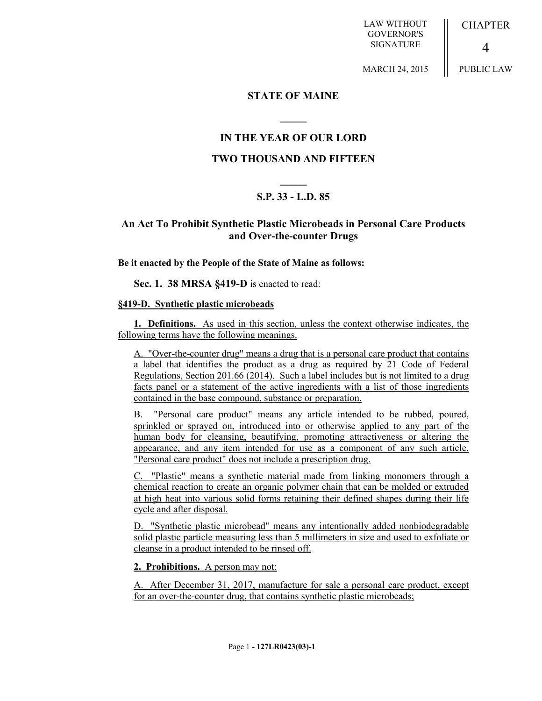LAW WITHOUT GOVERNOR'S SIGNATURE

**CHAPTER** 

 $\boldsymbol{\varDelta}$ 

MARCH 24, 2015

PUBLIC LAW

### **STATE OF MAINE**

**\_\_\_\_\_**

## **IN THE YEAR OF OUR LORD**

### **TWO THOUSAND AND FIFTEEN**

# **\_\_\_\_\_ S.P. 33 - L.D. 85**

## **An Act To Prohibit Synthetic Plastic Microbeads in Personal Care Products and Over-the-counter Drugs**

**Be it enacted by the People of the State of Maine as follows:**

**Sec. 1. 38 MRSA §419-D** is enacted to read:

#### **§419-D. Synthetic plastic microbeads**

**1. Definitions.** As used in this section, unless the context otherwise indicates, the following terms have the following meanings.

A. "Over-the-counter drug" means a drug that is a personal care product that contains a label that identifies the product as a drug as required by 21 Code of Federal Regulations, Section 201.66 (2014). Such a label includes but is not limited to a drug facts panel or a statement of the active ingredients with a list of those ingredients contained in the base compound, substance or preparation.

B. "Personal care product" means any article intended to be rubbed, poured, sprinkled or sprayed on, introduced into or otherwise applied to any part of the human body for cleansing, beautifying, promoting attractiveness or altering the appearance, and any item intended for use as a component of any such article. "Personal care product" does not include a prescription drug.

C. "Plastic" means a synthetic material made from linking monomers through a chemical reaction to create an organic polymer chain that can be molded or extruded at high heat into various solid forms retaining their defined shapes during their life cycle and after disposal.

D. "Synthetic plastic microbead" means any intentionally added nonbiodegradable solid plastic particle measuring less than 5 millimeters in size and used to exfoliate or cleanse in a product intended to be rinsed off.

**2. Prohibitions.** A person may not:

A. After December 31, 2017, manufacture for sale a personal care product, except for an over-the-counter drug, that contains synthetic plastic microbeads;